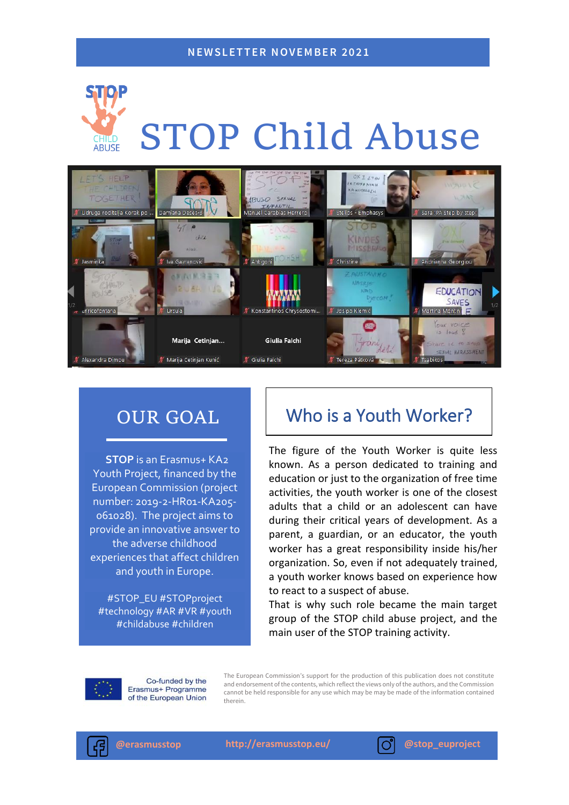#### **N E W S L E T T E R N O V E M B E R 2 0 21**

# ПО STOP Child Abuse **ABUSE**



### OUR GOAL

**STOP** is an Erasmus+ KA2 Youth Project, financed by the European Commission (project number: 2019-2-HR01-KA205- 061028). The project aims to provide an innovative answer to the adverse childhood experiences that affect children and youth in Europe.

#STOP\_EU #STOPproject #technology #AR #VR #youth #childabuse #children

## Who is a Youth Worker?

The figure of the Youth Worker is quite less known. As a person dedicated to training and education or just to the organization of free time activities, the youth worker is one of the closest adults that a child or an adolescent can have during their critical years of development. As a parent, a guardian, or an educator, the youth worker has a great responsibility inside his/her organization. So, even if not adequately trained, a youth worker knows based on experience how to react to a suspect of abuse.

That is why such role became the main target group of the STOP child abuse project, and the main user of the STOP training activity.



Co-funded by the Erasmus+ Programme of the European Union

The European Commission's support for the production of this publication does not constitute and endorsement of the contents, which reflect the views only of the authors, and the Commission cannot be held responsible for any use which may be may be made of the information contained therein.



**@erasmusstop <http://erasmusstop.eu/> @stop\_euproject**